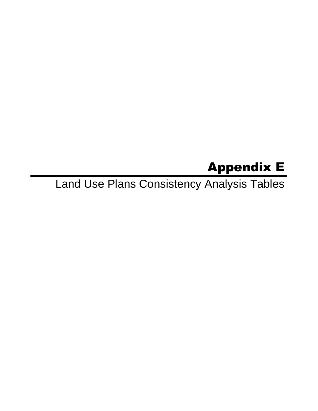# Appendix E

Land Use Plans Consistency Analysis Tables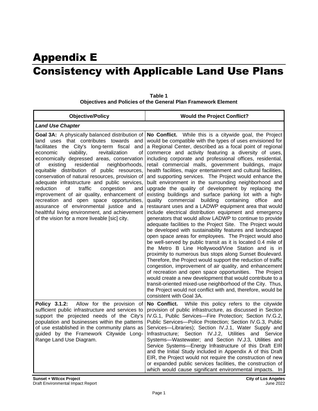# Appendix E Consistency with Applicable Land Use Plans

| <b>Objective/Policy</b>                                                                                                                                                                                                                                                                                                                                                                                                                                                                                                                                                                                                                                                                                                                       | <b>Would the Project Conflict?</b>                                                                                                                                                                                                                                                                                                                                                                                                                                                                                                                                                                                                                                                                                                                                                                                                                                                                                                                                                                                                                                                                                                                                                                                                                                                                                                                                                                                                                                                                                                                                                                                                                                                                 |
|-----------------------------------------------------------------------------------------------------------------------------------------------------------------------------------------------------------------------------------------------------------------------------------------------------------------------------------------------------------------------------------------------------------------------------------------------------------------------------------------------------------------------------------------------------------------------------------------------------------------------------------------------------------------------------------------------------------------------------------------------|----------------------------------------------------------------------------------------------------------------------------------------------------------------------------------------------------------------------------------------------------------------------------------------------------------------------------------------------------------------------------------------------------------------------------------------------------------------------------------------------------------------------------------------------------------------------------------------------------------------------------------------------------------------------------------------------------------------------------------------------------------------------------------------------------------------------------------------------------------------------------------------------------------------------------------------------------------------------------------------------------------------------------------------------------------------------------------------------------------------------------------------------------------------------------------------------------------------------------------------------------------------------------------------------------------------------------------------------------------------------------------------------------------------------------------------------------------------------------------------------------------------------------------------------------------------------------------------------------------------------------------------------------------------------------------------------------|
| <b>Land Use Chapter</b>                                                                                                                                                                                                                                                                                                                                                                                                                                                                                                                                                                                                                                                                                                                       |                                                                                                                                                                                                                                                                                                                                                                                                                                                                                                                                                                                                                                                                                                                                                                                                                                                                                                                                                                                                                                                                                                                                                                                                                                                                                                                                                                                                                                                                                                                                                                                                                                                                                                    |
| Goal 3A: A physically balanced distribution of<br>land uses that contributes towards<br>and<br>facilitates the City's long-term fiscal<br>and<br>viability,<br>economic<br>revitalization<br>οf<br>economically depressed areas, conservation<br>existing<br>residential<br>neighborhoods,<br>оf<br>equitable distribution of public resources,<br>conservation of natural resources, provision of<br>adequate infrastructure and public services,<br>of<br>traffic<br>reduction<br>congestion<br>and<br>improvement of air quality, enhancement of<br>recreation and open space opportunities,<br>assurance of environmental justice and a<br>healthful living environment, and achievement<br>of the vision for a more liveable [sic] city. | No Conflict. While this is a citywide goal, the Project<br>would be compatible with the types of uses envisioned for<br>a Regional Center, described as a focal point of regional<br>commerce and activity featuring a diversity of uses,<br>including corporate and professional offices, residential,<br>retail commercial malls, government buildings, major<br>health facilities, major entertainment and cultural facilities,<br>and supporting services. The Project would enhance the<br>built environment in the surrounding neighborhood and<br>upgrade the quality of development by replacing the<br>existing buildings and surface parking lot with a high-<br>quality commercial building containing office<br>and<br>restaurant uses and a LADWP equipment area that would<br>include electrical distribution equipment and emergency<br>generators that would allow LADWP to continue to provide<br>adequate facilities to the Project Site. The Project would<br>be developed with sustainability features and landscaped<br>open space areas for employees. The Project would also<br>be well-served by public transit as it is located 0.4 mile of<br>the Metro B Line Hollywood/Vine Station and is in<br>proximity to numerous bus stops along Sunset Boulevard.<br>Therefore, the Project would support the reduction of traffic<br>congestion, improvement of air quality, and enhancement<br>of recreation and open space opportunities. The Project<br>would create a new development that would contribute to a<br>transit-oriented mixed-use neighborhood of the City. Thus,<br>the Project would not conflict with and, therefore, would be<br>consistent with Goal 3A. |
| Policy 3.1.2:<br>Allow for the provision of<br>sufficient public infrastructure and services to<br>support the projected needs of the City's<br>population and businesses within the patterns<br>of use established in the community plans as<br>guided by the Framework Citywide Long-<br>Range Land Use Diagram.                                                                                                                                                                                                                                                                                                                                                                                                                            | No Conflict.<br>While this policy refers to the citywide<br>provision of public infrastructure, as discussed in Section<br>IV.G.1, Public Services-Fire Protection; Section IV.G.2,<br>Public Services-Police Protection; Section IV.G.3, Public<br>Services-Libraries); Section IV.J.1, Water Supply and<br>Infrastructure; Section IV.J.2, Utilities and Service<br>Systems-Wastewater; and Section IV.J.3, Utilities and<br>Service Systems-Energy Infrastructure of this Draft EIR<br>and the Initial Study included in Appendix A of this Draft<br>EIR, the Project would not require the construction of new<br>or expanded public services facilities, the construction of<br>which would cause significant environmental impacts. In                                                                                                                                                                                                                                                                                                                                                                                                                                                                                                                                                                                                                                                                                                                                                                                                                                                                                                                                                       |

| Table 1                                                              |
|----------------------------------------------------------------------|
| <b>Objectives and Policies of the General Plan Framework Element</b> |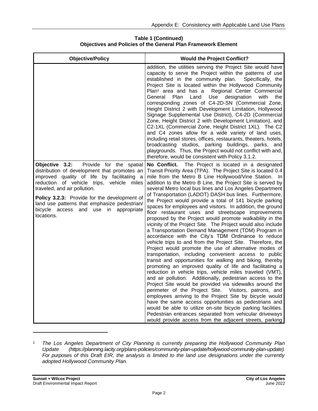| <b>Objective/Policy</b>                                                                                                                                                                                                                                                                                                                                                        | <b>Would the Project Conflict?</b>                                                                                                                                                                                                                                                                                                                                                                                                                                                                                                                                                                                                                                                                                                                                                                                                                                                                                                                                                                                                                                                                                                                                                                                                                                                                                                                                                                                                                                                                                                                                                                                                                             |
|--------------------------------------------------------------------------------------------------------------------------------------------------------------------------------------------------------------------------------------------------------------------------------------------------------------------------------------------------------------------------------|----------------------------------------------------------------------------------------------------------------------------------------------------------------------------------------------------------------------------------------------------------------------------------------------------------------------------------------------------------------------------------------------------------------------------------------------------------------------------------------------------------------------------------------------------------------------------------------------------------------------------------------------------------------------------------------------------------------------------------------------------------------------------------------------------------------------------------------------------------------------------------------------------------------------------------------------------------------------------------------------------------------------------------------------------------------------------------------------------------------------------------------------------------------------------------------------------------------------------------------------------------------------------------------------------------------------------------------------------------------------------------------------------------------------------------------------------------------------------------------------------------------------------------------------------------------------------------------------------------------------------------------------------------------|
|                                                                                                                                                                                                                                                                                                                                                                                | addition, the utilities serving the Project Site would have<br>capacity to serve the Project within the patterns of use<br>established in the community plan.<br>Specifically, the<br>Project Site is located within the Hollywood Community<br>Plan <sup>1</sup> area and has a<br>Regional Center Commercial<br>Use<br>General<br>Plan<br>Land<br>designation<br>with<br>the<br>corresponding zones of C4-2D-SN (Commercial Zone,<br>Height District 2 with Development Limitation, Hollywood<br>Signage Supplemental Use District), C4-2D (Commercial<br>Zone, Height District 2 with Development Limitation), and<br>C2-1XL (Commercial Zone, Height District 1XL). The C2<br>and C4 zones allow for a wide variety of land uses,<br>including retail stores, offices, restaurants, theaters, hotels,<br>broadcasting studios, parking buildings, parks, and<br>playgrounds. Thus, the Project would not conflict with and,<br>therefore, would be consistent with Policy 3.1.2.                                                                                                                                                                                                                                                                                                                                                                                                                                                                                                                                                                                                                                                                           |
| Objective 3.2:<br>Provide for the spatial<br>distribution of development that promotes an<br>improved quality of life by facilitating a<br>reduction of vehicle trips, vehicle miles<br>traveled, and air pollution.<br>Policy 3.2.3: Provide for the development of<br>land use patterns that emphasize pedestrian/<br>bicycle access and use in<br>appropriate<br>locations. | No Conflict.<br>The Project is located in a designated<br>Transit Priority Area (TPA). The Project Site is located 0.4<br>mile from the Metro B Line Hollywood/Vine Station. In<br>addition to the Metro B Line, the Project Site is served by<br>several Metro local bus lines and Los Angeles Department<br>of Transportation (LADOT) DASH bus lines. Furthermore,<br>the Project would provide a total of 141 bicycle parking<br>spaces for employees and visitors. In addition, the ground<br>floor restaurant uses and streetscape improvements<br>proposed by the Project would promote walkability in the<br>vicinity of the Project Site. The Project would also include<br>a Transportation Demand Management (TDM) Program in<br>accordance with the City's TDM Ordinance to reduce<br>vehicle trips to and from the Project Site. Therefore, the<br>Project would promote the use of alternative modes of<br>transportation, including convenient access to public<br>transit and opportunities for walking and biking, thereby<br>promoting an improved quality of life and facilitating a<br>reduction in vehicle trips, vehicle miles traveled (VMT),<br>and air pollution. Additionally, pedestrian access to the<br>Project Site would be provided via sidewalks around the<br>perimeter of the Project Site. Visitors, patrons, and<br>employees arriving to the Project Site by bicycle would<br>have the same access opportunities as pedestrians and<br>would be able to utilize on-site bicycle parking facilities.<br>Pedestrian entrances separated from vehicular driveways<br>would provide access from the adjacent streets, parking |

*<sup>1</sup> The Los Angeles Department of City Planning is currently preparing the Hollywood Community Plan Update (https://planning.lacity.org/plans-policies/community-plan-update/hollywood-community-plan-update). For purposes of this Draft EIR, the analysis is limited to the land use designations under the currently adopted Hollywood Community Plan.*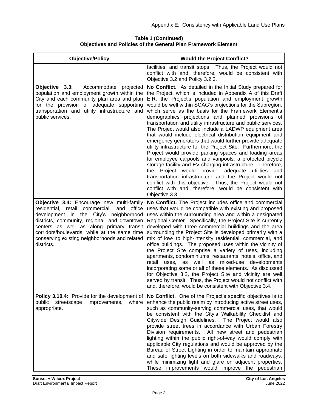| <b>Objective/Policy</b>                                                                                                                                                                                                                                                                                                                               | <b>Would the Project Conflict?</b>                                                                                                                                                                                                                                                                                                                                                                                                                                                                                                                                                                                                                                                                                                                                                                                                                                                                                                                                                                                                                                                                                                   |
|-------------------------------------------------------------------------------------------------------------------------------------------------------------------------------------------------------------------------------------------------------------------------------------------------------------------------------------------------------|--------------------------------------------------------------------------------------------------------------------------------------------------------------------------------------------------------------------------------------------------------------------------------------------------------------------------------------------------------------------------------------------------------------------------------------------------------------------------------------------------------------------------------------------------------------------------------------------------------------------------------------------------------------------------------------------------------------------------------------------------------------------------------------------------------------------------------------------------------------------------------------------------------------------------------------------------------------------------------------------------------------------------------------------------------------------------------------------------------------------------------------|
|                                                                                                                                                                                                                                                                                                                                                       | facilities, and transit stops. Thus, the Project would not<br>conflict with and, therefore, would be consistent with<br>Objective 3.2 and Policy 3.2.3.                                                                                                                                                                                                                                                                                                                                                                                                                                                                                                                                                                                                                                                                                                                                                                                                                                                                                                                                                                              |
| Accommodate projected<br>Objective 3.3:<br>population and employment growth within the<br>City and each community plan area and plan<br>for the provision of adequate supporting<br>transportation and utility infrastructure and<br>public services.                                                                                                 | No Conflict. As detailed in the Initial Study prepared for<br>the Project, which is included in Appendix A of this Draft<br>EIR, the Project's population and employment growth<br>would be well within SCAG's projections for the Subregion,<br>which serve as the basis for the Framework Element's<br>demographics projections and planned provisions of<br>transportation and utility infrastructure and public services.<br>The Project would also include a LADWP equipment area<br>that would include electrical distribution equipment and<br>emergency generators that would further provide adequate<br>utility infrastructure for the Project Site. Furthermore, the<br>Project would provide parking spaces and loading areas<br>for employee carpools and vanpools, a protected bicycle<br>storage facility and EV charging infrastructure. Therefore,<br>Project would provide adequate<br>the<br>utilities<br>and<br>transportation infrastructure and the Project would not<br>conflict with this objective. Thus, the Project would not<br>conflict with and, therefore, would be consistent with<br>Objective 3.3. |
| Objective 3.4: Encourage new multi-family<br>residential, retail<br>and<br>commercial,<br>office<br>development in the City's neighborhood<br>districts, community, regional, and downtown<br>centers as well as along primary transit<br>corridors/boulevards, while at the same time<br>conserving existing neighborhoods and related<br>districts. | No Conflict. The Project includes office and commercial<br>uses that would be compatible with existing and proposed<br>uses within the surrounding area and within a designated<br>Regional Center. Specifically, the Project Site is currently<br>developed with three commercial buildings and the area<br>surrounding the Project Site is developed primarily with a<br>mix of low- to high-intensity residential, commercial, and<br>office buildings. The proposed uses within the vicinity of<br>the Project Site comprise a variety of uses, including<br>apartments, condominiums, restaurants, hotels, office, and<br>as well as mixed-use developments<br>retail<br>uses,<br>incorporating some or all of these elements. As discussed<br>for Objective 3.2, the Project Site and vicinity are well<br>served by transit. Thus, the Project would not conflict with<br>and, therefore, would be consistent with Objective 3.4.                                                                                                                                                                                             |
| Policy 3.10.4: Provide for the development of<br>public streetscape<br>improvements,<br>where<br>appropriate.                                                                                                                                                                                                                                         | No Conflict. One of the Project's specific objectives is to<br>enhance the public realm by introducing active street uses,<br>such as community-serving commercial uses, that would<br>be consistent with the City's Walkability Checklist and<br>Citywide Design Guidelines. The Project would also<br>provide street trees in accordance with Urban Forestry<br>Division requirements. All new street and pedestrian<br>lighting within the public right-of-way would comply with<br>applicable City regulations and would be approved by the<br>Bureau of Street Lighting in order to maintain appropriate<br>and safe lighting levels on both sidewalks and roadways,<br>while minimizing light and glare on adjacent properties.<br>These improvements would improve the pedestrian                                                                                                                                                                                                                                                                                                                                             |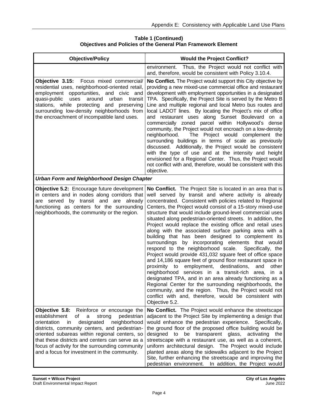| <b>Objective/Policy</b>                                                                                                                                                                                                                                                                                                                                                                                                | <b>Would the Project Conflict?</b>                                                                                                                                                                                                                                                                                                                                                                                                                                                                                                                                                                                                                                                                                                                                                                                                                                                                                                                                                                                                                                                                                                                                         |
|------------------------------------------------------------------------------------------------------------------------------------------------------------------------------------------------------------------------------------------------------------------------------------------------------------------------------------------------------------------------------------------------------------------------|----------------------------------------------------------------------------------------------------------------------------------------------------------------------------------------------------------------------------------------------------------------------------------------------------------------------------------------------------------------------------------------------------------------------------------------------------------------------------------------------------------------------------------------------------------------------------------------------------------------------------------------------------------------------------------------------------------------------------------------------------------------------------------------------------------------------------------------------------------------------------------------------------------------------------------------------------------------------------------------------------------------------------------------------------------------------------------------------------------------------------------------------------------------------------|
|                                                                                                                                                                                                                                                                                                                                                                                                                        | Thus, the Project would not conflict with<br>environment.<br>and, therefore, would be consistent with Policy 3.10.4.                                                                                                                                                                                                                                                                                                                                                                                                                                                                                                                                                                                                                                                                                                                                                                                                                                                                                                                                                                                                                                                       |
| <b>Objective 3.15:</b> Focus mixed commercial/<br>residential uses, neighborhood-oriented retail,<br>employment opportunities, and civic and<br>uses<br>around<br>urban<br>quasi-public<br>transit<br>stations, while protecting and preserving<br>surrounding low-density neighborhoods from<br>the encroachment of incompatible land uses.                                                                           | No Conflict. The Project would support this City objective by<br>providing a new mixed-use commercial office and restaurant<br>development with employment opportunities in a designated<br>TPA. Specifically, the Project Site is served by the Metro B<br>Line and multiple regional and local Metro bus routes and<br>local LADOT lines. By locating the Project's mix of office<br>and restaurant uses along Sunset Boulevard on a<br>commercially zoned parcel within Hollywood's dense<br>community, the Project would not encroach on a low-density<br>The Project would complement the<br>neighborhood.<br>surrounding buildings in terms of scale as previously<br>discussed. Additionally, the Project would be consistent<br>with the type of use and at the intensity and height<br>envisioned for a Regional Center. Thus, the Project would<br>not conflict with and, therefore, would be consistent with this<br>objective.                                                                                                                                                                                                                                 |
| <b>Urban Form and Neighborhood Design Chapter</b>                                                                                                                                                                                                                                                                                                                                                                      |                                                                                                                                                                                                                                                                                                                                                                                                                                                                                                                                                                                                                                                                                                                                                                                                                                                                                                                                                                                                                                                                                                                                                                            |
| Objective 5.2: Encourage future development<br>in centers and in nodes along corridors that<br>are served by transit and are already<br>functioning as centers for the surrounding<br>neighborhoods, the community or the region.                                                                                                                                                                                      | No Conflict. The Project Site is located in an area that is<br>well served by transit and where activity is already<br>concentrated. Consistent with policies related to Regional<br>Centers, the Project would consist of a 15-story mixed-use<br>structure that would include ground-level commercial uses<br>situated along pedestrian-oriented streets. In addition, the<br>Project would replace the existing office and retail uses<br>along with the associated surface parking area with a<br>building that has been designed to complement its<br>surroundings by incorporating elements that would<br>respond to the neighborhood scale. Specifically, the<br>Project would provide 431,032 square feet of office space<br>and 14,186 square feet of ground floor restaurant space in<br>proximity to employment, destinations,<br>and<br>other<br>neighborhood services in a transit-rich area, in a<br>designated TPA, and in an area already functioning as a<br>Regional Center for the surrounding neighborhoods, the<br>community, and the region. Thus, the Project would not<br>conflict with and, therefore, would be consistent with<br>Objective 5.2. |
| Objective 5.8:<br>Reinforce or encourage the<br>establishment<br>of<br>$\mathsf{a}$<br>pedestrian<br>strong<br>designated<br>orientation<br>in<br>neighborhood<br>districts, community centers, and pedestrian-<br>oriented subareas within regional centers, so<br>that these districts and centers can serve as a<br>focus of activity for the surrounding community<br>and a focus for investment in the community. | No Conflict. The Project would enhance the streetscape<br>adjacent to the Project Site by implementing a design that<br>would enhance the pedestrian experience. Specifically,<br>the ground floor of the proposed office building would be<br>designed to be transparent glass, activating the<br>streetscape with a restaurant use, as well as a coherent,<br>uniform architectural design. The Project would include<br>planted areas along the sidewalks adjacent to the Project<br>Site, further enhancing the streetscape and improving the<br>pedestrian environment. In addition, the Project would                                                                                                                                                                                                                                                                                                                                                                                                                                                                                                                                                                |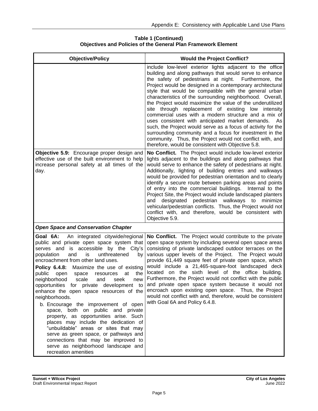| <b>Objective/Policy</b>                                                                                                                                                                                                                                                                                                                                                                                                                                                                                                                                                                                                                                                                                                                                                                                                                     | <b>Would the Project Conflict?</b>                                                                                                                                                                                                                                                                                                                                                                                                                                                                                                                                                                                                                                                                                                                                                                                                                   |
|---------------------------------------------------------------------------------------------------------------------------------------------------------------------------------------------------------------------------------------------------------------------------------------------------------------------------------------------------------------------------------------------------------------------------------------------------------------------------------------------------------------------------------------------------------------------------------------------------------------------------------------------------------------------------------------------------------------------------------------------------------------------------------------------------------------------------------------------|------------------------------------------------------------------------------------------------------------------------------------------------------------------------------------------------------------------------------------------------------------------------------------------------------------------------------------------------------------------------------------------------------------------------------------------------------------------------------------------------------------------------------------------------------------------------------------------------------------------------------------------------------------------------------------------------------------------------------------------------------------------------------------------------------------------------------------------------------|
|                                                                                                                                                                                                                                                                                                                                                                                                                                                                                                                                                                                                                                                                                                                                                                                                                                             | include low-level exterior lights adjacent to the office<br>building and along pathways that would serve to enhance<br>the safety of pedestrians at night.<br>Furthermore, the<br>Project would be designed in a contemporary architectural<br>style that would be compatible with the general urban<br>characteristics of the surrounding neighborhood. Overall,<br>the Project would maximize the value of the underutilized<br>site through replacement of existing low intensity<br>commercial uses with a modern structure and a mix of<br>uses consistent with anticipated market demands.<br>As<br>such, the Project would serve as a focus of activity for the<br>surrounding community and a focus for investment in the<br>community. Thus, the Project would not conflict with, and<br>therefore, would be consistent with Objective 5.8. |
| Objective 5.9: Encourage proper design and<br>effective use of the built environment to help<br>increase personal safety at all times of the<br>day.                                                                                                                                                                                                                                                                                                                                                                                                                                                                                                                                                                                                                                                                                        | No Conflict. The Project would include low-level exterior<br>lights adjacent to the buildings and along pathways that<br>would serve to enhance the safety of pedestrians at night.<br>Additionally, lighting of building entries and walkways<br>would be provided for pedestrian orientation and to clearly<br>identify a secure route between parking areas and points<br>of entry into the commercial buildings.<br>Internal to the<br>Project Site, the Project would include landscaped planters<br>pedestrian walkways<br>designated<br>to<br>minimize<br>and<br>vehicular/pedestrian conflicts. Thus, the Project would not<br>conflict with, and therefore, would be consistent with<br>Objective 5.9.                                                                                                                                      |
| <b>Open Space and Conservation Chapter</b>                                                                                                                                                                                                                                                                                                                                                                                                                                                                                                                                                                                                                                                                                                                                                                                                  |                                                                                                                                                                                                                                                                                                                                                                                                                                                                                                                                                                                                                                                                                                                                                                                                                                                      |
| An integrated citywide/regional<br>Goal 6A:<br>public and private open space system that<br>serves and is accessible by the City's<br>and<br>population<br>is<br>unthreatened<br>by<br>encroachment from other land uses.<br>Policy 6.4.8: Maximize the use of existing<br>public<br>at<br>the<br>open<br>space<br>resources<br>neighborhood<br>scale<br>seek<br>and<br>new<br>opportunities for private development to<br>enhance the open space resources of the<br>neighborhoods.<br>b. Encourage the improvement of open<br>space, both on public and private<br>property, as opportunities arise. Such<br>places may include the dedication of<br>"unbuildable" areas or sites that may<br>serve as green space, or pathways and<br>connections that may be improved to<br>serve as neighborhood landscape and<br>recreation amenities | No Conflict. The Project would contribute to the private<br>open space system by including several open space areas<br>consisting of private landscaped outdoor terraces on the<br>various upper levels of the Project. The Project would<br>provide 61,449 square feet of private open space, which<br>would include a 21,465-square-foot landscaped deck<br>located on the sixth level of the office building.<br>Furthermore, the Project would not conflict with the public<br>and private open space system because it would not<br>encroach upon existing open space. Thus, the Project<br>would not conflict with and, therefore, would be consistent<br>with Goal 6A and Policy 6.4.8.                                                                                                                                                       |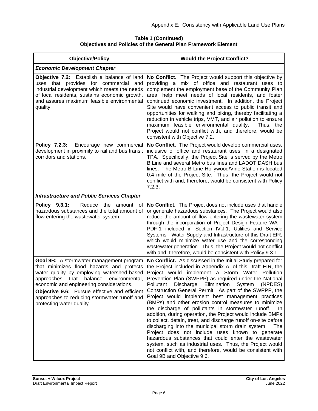| <b>Objective/Policy</b>                                                                                                                                                                                                                                                                                                                                           | <b>Would the Project Conflict?</b>                                                                                                                                                                                                                                                                                                                                                                                                                                                                                                                                                                                                                                                                                                                                                                                                                                                                                                                                                           |
|-------------------------------------------------------------------------------------------------------------------------------------------------------------------------------------------------------------------------------------------------------------------------------------------------------------------------------------------------------------------|----------------------------------------------------------------------------------------------------------------------------------------------------------------------------------------------------------------------------------------------------------------------------------------------------------------------------------------------------------------------------------------------------------------------------------------------------------------------------------------------------------------------------------------------------------------------------------------------------------------------------------------------------------------------------------------------------------------------------------------------------------------------------------------------------------------------------------------------------------------------------------------------------------------------------------------------------------------------------------------------|
| <b>Economic Development Chapter</b>                                                                                                                                                                                                                                                                                                                               |                                                                                                                                                                                                                                                                                                                                                                                                                                                                                                                                                                                                                                                                                                                                                                                                                                                                                                                                                                                              |
| <b>Objective 7.2:</b> Establish a balance of land<br>uses that provides for commercial<br>and<br>industrial development which meets the needs<br>of local residents, sustains economic growth,<br>and assures maximum feasible environmental<br>quality.                                                                                                          | No Conflict. The Project would support this objective by<br>providing a mix of office and restaurant uses to<br>complement the employment base of the Community Plan<br>area, help meet needs of local residents, and foster<br>continued economic investment. In addition, the Project<br>Site would have convenient access to public transit and<br>opportunities for walking and biking, thereby facilitating a<br>reduction in vehicle trips, VMT, and air pollution to ensure<br>maximum feasible environmental quality.<br>Thus, the<br>Project would not conflict with, and therefore, would be<br>consistent with Objective 7.2.                                                                                                                                                                                                                                                                                                                                                     |
| Policy 7.2.3:<br>Encourage new commercial<br>development in proximity to rail and bus transit<br>corridors and stations.                                                                                                                                                                                                                                          | No Conflict. The Project would develop commercial uses,<br>inclusive of office and restaurant uses, in a designated<br>TPA. Specifically, the Project Site is served by the Metro<br>B Line and several Metro bus lines and LADOT DASH bus<br>lines. The Metro B Line Hollywood/Vine Station is located<br>0.4 mile of the Project Site. Thus, the Project would not<br>conflict with and, therefore, would be consistent with Policy<br>7.2.3.                                                                                                                                                                                                                                                                                                                                                                                                                                                                                                                                              |
| <b>Infrastructure and Public Services Chapter</b>                                                                                                                                                                                                                                                                                                                 |                                                                                                                                                                                                                                                                                                                                                                                                                                                                                                                                                                                                                                                                                                                                                                                                                                                                                                                                                                                              |
| Policy 9.3.1:<br>Reduce the amount<br>0f<br>hazardous substances and the total amount of<br>flow entering the wastewater system.                                                                                                                                                                                                                                  | No Conflict. The Project does not include uses that handle<br>or generate hazardous substances. The Project would also<br>reduce the amount of flow entering the wastewater system<br>through the incorporation of Project Design Feature WAT-<br>PDF-1 included in Section IV.J.1, Utilities and Service<br>Systems-Water Supply and Infrastructure of this Draft EIR,<br>which would minimize water use and the corresponding<br>wastewater generation. Thus, the Project would not conflict<br>with and, therefore, would be consistent with Policy 9.3.1.                                                                                                                                                                                                                                                                                                                                                                                                                                |
| <b>Goal 9B:</b> A stormwater management program<br>that minimizes flood hazards and protects<br>water quality by employing watershed-based<br>approaches that balance<br>environmental,<br>economic and engineering considerations.<br>Objective 9.6: Pursue effective and efficient<br>approaches to reducing stormwater runoff and<br>protecting water quality. | No Conflict. As discussed in the Initial Study prepared for<br>the Project included in Appendix A, of this Draft EIR, the<br>Project would implement a Storm Water Pollution<br>Prevention Plan (SWPPP) as required under the National<br>Pollutant Discharge Elimination System (NPDES)<br>Construction General Permit. As part of the SWPPP, the<br>Project would implement best management practices<br>(BMPs) and other erosion control measures to minimize<br>the discharge of pollutants in stormwater runoff.<br>In.<br>addition, during operation, the Project would include BMPs<br>to collect, detain, treat, and discharge runoff on-site before<br>discharging into the municipal storm drain system.<br>The<br>Project does not include uses known to generate<br>hazardous substances that could enter the wastewater<br>system, such as industrial uses. Thus, the Project would<br>not conflict with, and therefore, would be consistent with<br>Goal 9B and Objective 9.6. |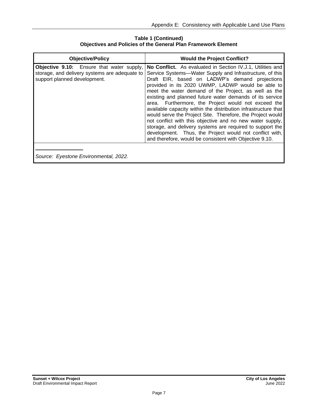**Table 1 (Continued) Objectives and Policies of the General Plan Framework Element**

| <b>Objective/Policy</b>                                                                                                    | <b>Would the Project Conflict?</b>                                                                                                                                                                                                                                                                                                                                                                                                                                                                                                                                                                                                                                                                                                                                                       |
|----------------------------------------------------------------------------------------------------------------------------|------------------------------------------------------------------------------------------------------------------------------------------------------------------------------------------------------------------------------------------------------------------------------------------------------------------------------------------------------------------------------------------------------------------------------------------------------------------------------------------------------------------------------------------------------------------------------------------------------------------------------------------------------------------------------------------------------------------------------------------------------------------------------------------|
| Objective 9.10: Ensure that water supply,<br>storage, and delivery systems are adequate to<br>support planned development. | No Conflict. As evaluated in Section IV.J.1, Utilities and<br>Service Systems-Water Supply and Infrastructure, of this<br>Draft EIR, based on LADWP's demand projections<br>provided in its 2020 UWMP, LADWP would be able to<br>meet the water demand of the Project, as well as the<br>existing and planned future water demands of its service<br>area. Furthermore, the Project would not exceed the<br>available capacity within the distribution infrastructure that<br>would serve the Project Site. Therefore, the Project would<br>not conflict with this objective and no new water supply,<br>storage, and delivery systems are required to support the<br>development. Thus, the Project would not conflict with,<br>and therefore, would be consistent with Objective 9.10. |
| Source: Eyestone Environmental, 2022.                                                                                      |                                                                                                                                                                                                                                                                                                                                                                                                                                                                                                                                                                                                                                                                                                                                                                                          |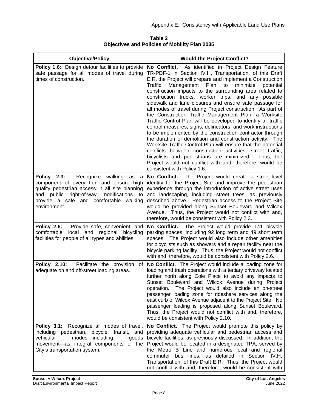**Table 2 Objectives and Policies of Mobility Plan 2035**

| <b>Objective/Policy</b>                                                                                                                                                                                                                            | <b>Would the Project Conflict?</b>                                                                                                                                                                                                                                                                                                                                                                                                                                                                                                                                                                                                                                                                                                                                                                                                                                                                                                                                                                                                                                                               |
|----------------------------------------------------------------------------------------------------------------------------------------------------------------------------------------------------------------------------------------------------|--------------------------------------------------------------------------------------------------------------------------------------------------------------------------------------------------------------------------------------------------------------------------------------------------------------------------------------------------------------------------------------------------------------------------------------------------------------------------------------------------------------------------------------------------------------------------------------------------------------------------------------------------------------------------------------------------------------------------------------------------------------------------------------------------------------------------------------------------------------------------------------------------------------------------------------------------------------------------------------------------------------------------------------------------------------------------------------------------|
| Policy 1.6: Design detour facilities to provide<br>safe passage for all modes of travel during<br>times of construction.                                                                                                                           | As identified in Project Design Feature<br>No Conflict.<br>TR-PDF-1 in Section IV.H, Transportation, of this Draft<br>EIR, the Project will prepare and implement a Construction<br>Traffic<br>Management<br>Plan<br>minimize<br>to<br>potential<br>construction impacts to the surrounding area related to<br>construction trucks, worker trips, and any possible<br>sidewalk and lane closures and ensure safe passage for<br>all modes of travel during Project construction. As part of<br>the Construction Traffic Management Plan, a Worksite<br>Traffic Control Plan will be developed to identify all traffic<br>control measures, signs, delineators, and work instructions<br>to be implemented by the construction contractor through<br>the duration of demolition and construction activity. The<br>Worksite Traffic Control Plan will ensure that the potential<br>conflicts between construction activities, street traffic,<br>bicyclists and pedestrians are minimized.<br>Thus, the<br>Project would not conflict with and, therefore, would be<br>consistent with Policy 1.6. |
| Policy 2.3:<br>Recognize walking<br>as<br>a<br>component of every trip, and ensure high<br>quality pedestrian access in all site planning<br>and public right-of-way modifications<br>to<br>provide a safe and comfortable walking<br>environment. | No Conflict. The Project would create a street-level<br>identity for the Project Site and improve the pedestrian<br>experience through the introduction of active street uses<br>and landscaping, including street trees, as previously<br>described above. Pedestrian access to the Project Site<br>would be provided along Sunset Boulevard and Wilcox<br>Avenue. Thus, the Project would not conflict with and,<br>therefore, would be consistent with Policy 2.3.                                                                                                                                                                                                                                                                                                                                                                                                                                                                                                                                                                                                                            |
| Policy 2.6:<br>Provide safe, convenient, and<br>local and regional bicycling<br>comfortable<br>facilities for people of all types and abilities.                                                                                                   | No Conflict. The Project would provide 141 bicycle<br>parking spaces, including 92 long term and 49 short term<br>spaces. The Project would also include other amenities<br>for bicyclists such as showers and a repair facility near the<br>bicycle parking facility. Thus, the Project would not conflict<br>with and, therefore, would be consistent with Policy 2.6.                                                                                                                                                                                                                                                                                                                                                                                                                                                                                                                                                                                                                                                                                                                         |
| Policy 2.10:<br>Facilitate the provision of<br>adequate on and off-street loading areas.                                                                                                                                                           | No Conflict. The Project would include a loading zone for<br>loading and trash operations with a tertiary driveway located<br>further north along Cole Place to avoid any impacts to<br>Sunset Boulevard and Wilcox Avenue during Project<br>operation. The Project would also include an on-street<br>passenger loading zone for rideshare services along the<br>east curb of Wilcox Avenue adjacent to the Project Site. No<br>passenger loading is proposed along Sunset Boulevard.<br>Thus, the Project would not conflict with and, therefore,<br>would be consistent with Policy 2.10.                                                                                                                                                                                                                                                                                                                                                                                                                                                                                                     |
| Policy 3.1: Recognize all modes of travel,<br>including pedestrian, bicycle, transit, and<br>vehicular<br>modes-including<br>goods<br>movement-as integral components of the<br>City's transportation system.                                      | No Conflict. The Project would promote this policy by<br>providing adequate vehicular and pedestrian access and<br>bicycle facilities, as previously discussed. In addition, the<br>Project would be located in a designated TPA, served by<br>the Metro B Line and numerous local and regional<br>commuter bus lines, as detailed in Section IV.H,<br>Transportation, of this Draft EIR. Thus, the Project would<br>not conflict with and, therefore, would be consistent with                                                                                                                                                                                                                                                                                                                                                                                                                                                                                                                                                                                                                  |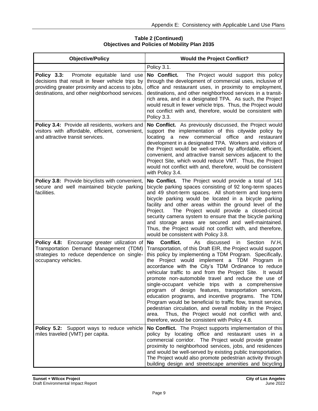#### **Table 2 (Continued) Objectives and Policies of Mobility Plan 2035**

| <b>Objective/Policy</b>                                                                                                                                                                           | <b>Would the Project Conflict?</b>                                                                                                                                                                                                                                                                                                                                                                                                                                                                                                                                                                                                                                                                                                                                                                                                       |
|---------------------------------------------------------------------------------------------------------------------------------------------------------------------------------------------------|------------------------------------------------------------------------------------------------------------------------------------------------------------------------------------------------------------------------------------------------------------------------------------------------------------------------------------------------------------------------------------------------------------------------------------------------------------------------------------------------------------------------------------------------------------------------------------------------------------------------------------------------------------------------------------------------------------------------------------------------------------------------------------------------------------------------------------------|
|                                                                                                                                                                                                   | Policy 3.1.                                                                                                                                                                                                                                                                                                                                                                                                                                                                                                                                                                                                                                                                                                                                                                                                                              |
| Policy 3.3:<br>Promote equitable land use<br>decisions that result in fewer vehicle trips by<br>providing greater proximity and access to jobs,<br>destinations, and other neighborhood services. | No Conflict.<br>The Project would support this policy<br>through the development of commercial uses, inclusive of<br>office and restaurant uses, in proximity to employment,<br>destinations, and other neighborhood services in a transit-<br>rich area, and in a designated TPA. As such, the Project<br>would result in fewer vehicle trips. Thus, the Project would<br>not conflict with and, therefore, would be consistent with<br>Policy 3.3.                                                                                                                                                                                                                                                                                                                                                                                     |
| Policy 3.4: Provide all residents, workers and<br>visitors with affordable, efficient, convenient,<br>and attractive transit services.                                                            | No Conflict. As previously discussed, the Project would<br>support the implementation of this citywide policy by<br>locating<br>a new commercial office and<br>restaurant<br>development in a designated TPA. Workers and visitors of<br>the Project would be well-served by affordable, efficient,<br>convenient, and attractive transit services adjacent to the<br>Project Site, which would reduce VMT. Thus, the Project<br>would not conflict with and, therefore, would be consistent<br>with Policy 3.4.                                                                                                                                                                                                                                                                                                                         |
| Policy 3.8: Provide bicyclists with convenient,<br>secure and well maintained bicycle parking<br>facilities.                                                                                      | No Conflict. The Project would provide a total of 141<br>bicycle parking spaces consisting of 92 long-term spaces<br>and 49 short-term spaces. All short-term and long-term<br>bicycle parking would be located in a bicycle parking<br>facility and other areas within the ground level of the<br>The Project would provide a closed-circuit<br>Project.<br>security camera system to ensure that the bicycle parking<br>and storage areas are secured and well-maintained.<br>Thus, the Project would not conflict with, and therefore,<br>would be consistent with Policy 3.8.                                                                                                                                                                                                                                                        |
| Policy 4.8: Encourage greater utilization of<br>Transportation Demand Management (TDM)<br>strategies to reduce dependence on single-<br>occupancy vehicles.                                       | No<br>Conflict.<br>discussed<br>Section<br>IV.H,<br>As<br>in<br>Transportation, of this Draft EIR, the Project would support<br>this policy by implementing a TDM Program. Specifically,<br>the Project would implement a TDM Program<br>in.<br>accordance with the City's TDM Ordinance to reduce<br>vehicular traffic to and from the Project Site. It would<br>promote non-automobile travel and reduce the use of<br>single-occupant vehicle trips with a comprehensive<br>program of design features, transportation services,<br>education programs, and incentive programs. The TDM<br>Program would be beneficial to traffic flow, transit service,<br>pedestrian circulation, and overall mobility in the Project<br>Thus, the Project would not conflict with and,<br>area.<br>therefore, would be consistent with Policy 4.8. |
| Policy 5.2: Support ways to reduce vehicle<br>miles traveled (VMT) per capita.                                                                                                                    | No Conflict. The Project supports implementation of this<br>policy by locating office and restaurant uses in a<br>commercial corridor. The Project would provide greater<br>proximity to neighborhood services, jobs, and residences<br>and would be well-served by existing public transportation.<br>The Project would also promote pedestrian activity through<br>building design and streetscape amenities and bicycling                                                                                                                                                                                                                                                                                                                                                                                                             |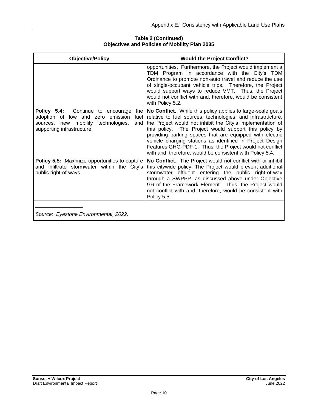| <b>Objective/Policy</b>                                                                                                                                    | <b>Would the Project Conflict?</b>                                                                                                                                                                                                                                                                                                                                                                                                                                                                              |
|------------------------------------------------------------------------------------------------------------------------------------------------------------|-----------------------------------------------------------------------------------------------------------------------------------------------------------------------------------------------------------------------------------------------------------------------------------------------------------------------------------------------------------------------------------------------------------------------------------------------------------------------------------------------------------------|
|                                                                                                                                                            | opportunities. Furthermore, the Project would implement a<br>TDM Program in accordance with the City's TDM<br>Ordinance to promote non-auto travel and reduce the use<br>of single-occupant vehicle trips. Therefore, the Project<br>would support ways to reduce VMT. Thus, the Project<br>would not conflict with and, therefore, would be consistent<br>with Policy 5.2.                                                                                                                                     |
| Policy 5.4: Continue to encourage<br>adoption of low and zero emission<br>fuel<br>sources, new mobility technologies,<br>and<br>supporting infrastructure. | the $\vert$ No Conflict. While this policy applies to large-scale goals<br>relative to fuel sources, technologies, and infrastructure,<br>the Project would not inhibit the City's implementation of<br>this policy. The Project would support this policy by<br>providing parking spaces that are equipped with electric<br>vehicle charging stations as identified in Project Design<br>Features GHG-PDF-1. Thus, the Project would not conflict<br>with and, therefore, would be consistent with Policy 5.4. |
| Policy 5.5: Maximize opportunities to capture<br>and infiltrate stormwater within the City's<br>public right-of-ways.                                      | No Conflict. The Project would not conflict with or inhibit<br>this citywide policy. The Project would prevent additional<br>stormwater effluent entering the public right-of-way<br>through a SWPPP, as discussed above under Objective<br>9.6 of the Framework Element. Thus, the Project would<br>not conflict with and, therefore, would be consistent with<br>Policy 5.5.                                                                                                                                  |
| Source: Eyestone Environmental, 2022.                                                                                                                      |                                                                                                                                                                                                                                                                                                                                                                                                                                                                                                                 |

# **Table 2 (Continued) Objectives and Policies of Mobility Plan 2035**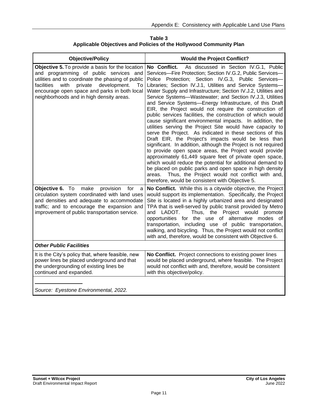**Table 3 Applicable Objectives and Policies of the Hollywood Community Plan**

| <b>Objective/Policy</b>                                                                                                                                                                                                                                                                            | <b>Would the Project Conflict?</b>                                                                                                                                                                                                                                                                                                                                                                                                                                                                                                                                                                                                                                                                                                                                                                                                                                                                                                                                                                                                                                                                                                                                                                                                         |
|----------------------------------------------------------------------------------------------------------------------------------------------------------------------------------------------------------------------------------------------------------------------------------------------------|--------------------------------------------------------------------------------------------------------------------------------------------------------------------------------------------------------------------------------------------------------------------------------------------------------------------------------------------------------------------------------------------------------------------------------------------------------------------------------------------------------------------------------------------------------------------------------------------------------------------------------------------------------------------------------------------------------------------------------------------------------------------------------------------------------------------------------------------------------------------------------------------------------------------------------------------------------------------------------------------------------------------------------------------------------------------------------------------------------------------------------------------------------------------------------------------------------------------------------------------|
| Objective 5. To provide a basis for the location<br>and programming of public services and<br>utilities and to coordinate the phasing of public<br>development.<br>facilities<br>with<br>private<br>To<br>encourage open space and parks in both local<br>neighborhoods and in high density areas. | No Conflict.<br>As discussed in Section IV.G.1, Public<br>Services-Fire Protection; Section IV.G.2, Public Services-<br>Police Protection; Section IV.G.3, Public Services-<br>Libraries; Section IV.J.1, Utilities and Service Systems-<br>Water Supply and Infrastructure; Section IV.J.2, Utilities and<br>Service Systems-Wastewater; and Section IV.J.3, Utilities<br>and Service Systems-Energy Infrastructure, of this Draft<br>EIR, the Project would not require the construction of<br>public services facilities, the construction of which would<br>cause significant environmental impacts. In addition, the<br>utilities serving the Project Site would have capacity to<br>serve the Project. As indicated in these sections of this<br>Draft EIR, the Project's impacts would be less than<br>significant. In addition, although the Project is not required<br>to provide open space areas, the Project would provide<br>approximately 61,449 square feet of private open space,<br>which would reduce the potential for additional demand to<br>be placed on public parks and open space in high density<br>Thus, the Project would not conflict with and,<br>areas.<br>therefore, would be consistent with Objective 5. |
| Objective 6. To<br>make<br>provision<br>for<br>a<br>circulation system coordinated with land uses<br>and densities and adequate to accommodate<br>traffic; and to encourage the expansion and<br>improvement of public transportation service.                                                     | No Conflict. While this is a citywide objective, the Project<br>would support its implementation. Specifically, the Project<br>Site is located in a highly urbanized area and designated<br>TPA that is well-served by public transit provided by Metro<br>Thus, the Project would promote<br>and LADOT.<br>opportunities for the use of alternative modes of<br>transportation, including use of public transportation,<br>walking, and bicycling. Thus, the Project would not conflict<br>with and, therefore, would be consistent with Objective 6.                                                                                                                                                                                                                                                                                                                                                                                                                                                                                                                                                                                                                                                                                     |
| <b>Other Public Facilities</b>                                                                                                                                                                                                                                                                     |                                                                                                                                                                                                                                                                                                                                                                                                                                                                                                                                                                                                                                                                                                                                                                                                                                                                                                                                                                                                                                                                                                                                                                                                                                            |
| It is the City's policy that, where feasible, new<br>power lines be placed underground and that<br>the undergrounding of existing lines be<br>continued and expanded.                                                                                                                              | No Conflict. Project connections to existing power lines<br>would be placed underground, where feasible. The Project<br>would not conflict with and, therefore, would be consistent<br>with this objective/policy.                                                                                                                                                                                                                                                                                                                                                                                                                                                                                                                                                                                                                                                                                                                                                                                                                                                                                                                                                                                                                         |
| Source: Eyestone Environmental, 2022.                                                                                                                                                                                                                                                              |                                                                                                                                                                                                                                                                                                                                                                                                                                                                                                                                                                                                                                                                                                                                                                                                                                                                                                                                                                                                                                                                                                                                                                                                                                            |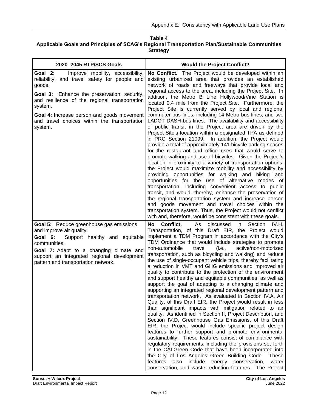| 2020-2045 RTP/SCS Goals                                                                                                                                                                                                                                                | <b>Would the Project Conflict?</b>                                                                                                                                                                                                                                                                                                                                                                                                                                                                                                                                                                                                                                                                                                                                                                                                                                                                                                                                                                                                                                                                                                                                                                                                                                                                                                                                                                                                                                                                                                                             |
|------------------------------------------------------------------------------------------------------------------------------------------------------------------------------------------------------------------------------------------------------------------------|----------------------------------------------------------------------------------------------------------------------------------------------------------------------------------------------------------------------------------------------------------------------------------------------------------------------------------------------------------------------------------------------------------------------------------------------------------------------------------------------------------------------------------------------------------------------------------------------------------------------------------------------------------------------------------------------------------------------------------------------------------------------------------------------------------------------------------------------------------------------------------------------------------------------------------------------------------------------------------------------------------------------------------------------------------------------------------------------------------------------------------------------------------------------------------------------------------------------------------------------------------------------------------------------------------------------------------------------------------------------------------------------------------------------------------------------------------------------------------------------------------------------------------------------------------------|
| Goal 2:<br>Improve mobility, accessibility,<br>reliability, and travel safety for people and<br>goods.                                                                                                                                                                 | No Conflict. The Project would be developed within an<br>existing urbanized area that provides an established<br>network of roads and freeways that provide local and<br>regional access to the area, including the Project Site. In                                                                                                                                                                                                                                                                                                                                                                                                                                                                                                                                                                                                                                                                                                                                                                                                                                                                                                                                                                                                                                                                                                                                                                                                                                                                                                                           |
| <b>Goal 3:</b> Enhance the preservation, security,<br>and resilience of the regional transportation<br>system.                                                                                                                                                         | addition, the Metro B Line Hollywood/Vine Station is<br>located 0.4 mile from the Project Site. Furthermore, the<br>Project Site is currently served by local and regional                                                                                                                                                                                                                                                                                                                                                                                                                                                                                                                                                                                                                                                                                                                                                                                                                                                                                                                                                                                                                                                                                                                                                                                                                                                                                                                                                                                     |
| Goal 4: Increase person and goods movement<br>and travel choices within the transportation<br>system.                                                                                                                                                                  | commuter bus lines, including 14 Metro bus lines, and two<br>LADOT DASH bus lines. The availability and accessibility<br>of public transit in the Project area are driven by the<br>Project Site's location within a designated TPA as defined<br>in PRC Section 21099. In addition, the Project would<br>provide a total of approximately 141 bicycle parking spaces<br>for the restaurant and office uses that would serve to<br>promote walking and use of bicycles. Given the Project's<br>location in proximity to a variety of transportation options,<br>the Project would maximize mobility and accessibility by<br>providing opportunities for walking and biking and<br>opportunities for the use of alternative modes of<br>transportation, including convenient access to public<br>transit, and would, thereby, enhance the preservation of<br>the regional transportation system and increase person<br>and goods movement and travel choices within the<br>transportation system. Thus, the Project would not conflict<br>with and, therefore, would be consistent with these goals.                                                                                                                                                                                                                                                                                                                                                                                                                                                            |
| <b>Goal 5:</b> Reduce greenhouse gas emissions<br>and improve air quality.<br>Goal 6:<br>Support healthy and equitable<br>communities.<br>Goal 7: Adapt to a changing climate and<br>support an integrated regional development<br>pattern and transportation network. | No<br>Conflict.<br>As<br>discussed<br>in<br>Section<br>IV.H.<br>Transportation, of this Draft EIR, the Project would<br>implement a TDM Program in accordance with the City's<br>TDM Ordinance that would include strategies to promote<br>non-automobile<br>travel<br>(i.e.,<br>active/non-motorized<br>transportation, such as bicycling and walking) and reduce<br>the use of single-occupant vehicle trips, thereby facilitating<br>a reduction in VMT and GHG emissions and improved air<br>quality to contribute to the protection of the environment<br>and support healthy and equitable communities, as well as<br>support the goal of adapting to a changing climate and<br>supporting an integrated regional development pattern and<br>transportation network. As evaluated in Section IV.A, Air<br>Quality, of this Draft EIR, the Project would result in less<br>than significant impacts with mitigation related to air<br>quality. As identified in Section II, Project Description, and<br>Section IV.D, Greenhouse Gas Emissions, of this Draft<br>EIR, the Project would include specific project design<br>features to further support and promote environmental<br>sustainability. These features consist of compliance with<br>regulatory requirements, including the provisions set forth<br>in the CALGreen Code that have been incorporated into<br>the City of Los Angeles Green Building Code.<br>These<br>features<br>include<br>also<br>energy conservation,<br>water<br>conservation, and waste reduction features. The Project |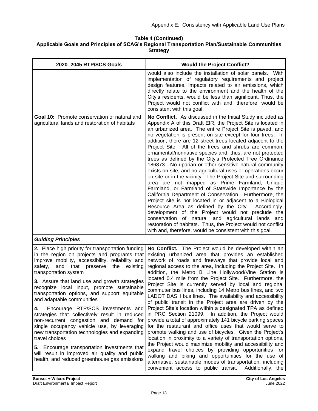| 2020-2045 RTP/SCS Goals                                                                                                                                                                                                                                                                                                              | <b>Would the Project Conflict?</b>                                                                                                                                                                                                                                                                                                                                                                                                                                                                                                                                                                                                                                                                                                                                                                                                                                                                                                                                                                                                                                                                                                                                                                                               |
|--------------------------------------------------------------------------------------------------------------------------------------------------------------------------------------------------------------------------------------------------------------------------------------------------------------------------------------|----------------------------------------------------------------------------------------------------------------------------------------------------------------------------------------------------------------------------------------------------------------------------------------------------------------------------------------------------------------------------------------------------------------------------------------------------------------------------------------------------------------------------------------------------------------------------------------------------------------------------------------------------------------------------------------------------------------------------------------------------------------------------------------------------------------------------------------------------------------------------------------------------------------------------------------------------------------------------------------------------------------------------------------------------------------------------------------------------------------------------------------------------------------------------------------------------------------------------------|
|                                                                                                                                                                                                                                                                                                                                      | would also include the installation of solar panels. With<br>implementation of regulatory requirements and project<br>design features, impacts related to air emissions, which<br>directly relate to the environment and the health of the<br>City's residents, would be less than significant. Thus, the<br>Project would not conflict with and, therefore, would be<br>consistent with this goal.                                                                                                                                                                                                                                                                                                                                                                                                                                                                                                                                                                                                                                                                                                                                                                                                                              |
| Goal 10: Promote conservation of natural and<br>agricultural lands and restoration of habitats                                                                                                                                                                                                                                       | No Conflict. As discussed in the Initial Study included as<br>Appendix A of this Draft EIR, the Project Site is located in<br>an urbanized area. The entire Project Site is paved, and<br>no vegetation is present on-site except for four trees. In<br>addition, there are 12 street trees located adjacent to the<br>Project Site. All of the trees and shrubs are common,<br>ornamental/nonnative species and, thus, are not protected<br>trees as defined by the City's Protected Tree Ordinance<br>186873. No riparian or other sensitive natural community<br>exists on-site, and no agricultural uses or operations occur<br>on-site or in the vicinity. The Project Site and surrounding<br>area are not mapped as Prime Farmland, Unique<br>Farmland, or Farmland of Statewide Importance by the<br>California Department of Conservation. Furthermore, the<br>Project site is not located in or adjacent to a Biological<br>Resource Area as defined by the City. Accordingly,<br>development of the Project would not preclude the<br>conservation of natural and agricultural lands and<br>restoration of habitats. Thus, the Project would not conflict<br>with and, therefore, would be consistent with this goal. |
| <b>Guiding Principles</b>                                                                                                                                                                                                                                                                                                            |                                                                                                                                                                                                                                                                                                                                                                                                                                                                                                                                                                                                                                                                                                                                                                                                                                                                                                                                                                                                                                                                                                                                                                                                                                  |
| 2. Place high priority for transportation funding<br>in the region on projects and programs that<br>improve mobility, accessibility, reliability and<br>existing<br>safety,<br>and that preserve the<br>transportation system<br>3. Assure that land use and growth strategies<br>recognize local input, promote sustainable         | No Conflict. The Project would be developed within an<br>existing urbanized area that provides an established<br>network of roads and freeways that provide local and<br>regional access to the area, including the Project Site. In<br>addition, the Metro B Line Hollywood/Vine Station is<br>located 0.4 mile from the Project Site. Furthermore, the<br>Project Site is currently served by local and regional<br>commuter bus lines, including 14 Metro bus lines, and two                                                                                                                                                                                                                                                                                                                                                                                                                                                                                                                                                                                                                                                                                                                                                  |
| transportation options, and support equitable<br>and adaptable communities<br>Encourage RTP/SCS investments and<br>4.<br>strategies that collectively result in reduced<br>non-recurrent congestion and demand for<br>single occupancy vehicle use, by leveraging<br>new transportation technologies and expanding<br>travel choices | LADOT DASH bus lines. The availability and accessibility<br>of public transit in the Project area are driven by the<br>Project Site's location within a designated TPA as defined<br>in PRC Section 21099. In addition, the Project would<br>provide a total of approximately 141 bicycle parking spaces<br>for the restaurant and office uses that would serve to<br>promote walking and use of bicycles. Given the Project's<br>location in proximity to a variety of transportation options,                                                                                                                                                                                                                                                                                                                                                                                                                                                                                                                                                                                                                                                                                                                                  |
| 5. Encourage transportation investments that<br>will result in improved air quality and public<br>health, and reduced greenhouse gas emissions                                                                                                                                                                                       | the Project would maximize mobility and accessibility and<br>expand travel choices by providing opportunities for<br>walking and biking and opportunities for the use of<br>alternative, sustainable modes of transportation, including<br>convenient access to public transit.<br>Additionally, the                                                                                                                                                                                                                                                                                                                                                                                                                                                                                                                                                                                                                                                                                                                                                                                                                                                                                                                             |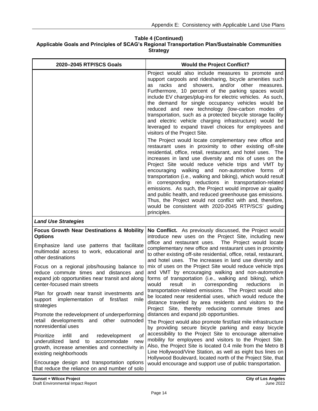| 2020-2045 RTP/SCS Goals                                                                                                                                                                   | <b>Would the Project Conflict?</b>                                                                                                                                                                                                                                                                                                                                                                                                                                                                                                                                                                                                                                                                                                              |
|-------------------------------------------------------------------------------------------------------------------------------------------------------------------------------------------|-------------------------------------------------------------------------------------------------------------------------------------------------------------------------------------------------------------------------------------------------------------------------------------------------------------------------------------------------------------------------------------------------------------------------------------------------------------------------------------------------------------------------------------------------------------------------------------------------------------------------------------------------------------------------------------------------------------------------------------------------|
|                                                                                                                                                                                           | Project would also include measures to promote and<br>support carpools and ridesharing, bicycle amenities such<br>showers, and/or other<br>racks and<br>as<br>measures.<br>Furthermore, 10 percent of the parking spaces would<br>include EV charges/plug-ins for electric vehicles. As such,<br>the demand for single occupancy vehicles would be<br>reduced and new technology (low-carbon modes of<br>transportation, such as a protected bicycle storage facility<br>and electric vehicle charging infrastructure) would be<br>leveraged to expand travel choices for employees and<br>visitors of the Project Site.                                                                                                                        |
|                                                                                                                                                                                           | The Project would locate complementary new office and<br>restaurant uses in proximity to other existing off-site<br>residential, office, retail, restaurant, and hotel uses. The<br>increases in land use diversity and mix of uses on the<br>Project Site would reduce vehicle trips and VMT by<br>walking and non-automotive forms<br>encouraging<br>of<br>transportation (i.e., walking and biking), which would result<br>in corresponding reductions in transportation-related<br>emissions. As such, the Project would improve air quality<br>and public health, and reduced greenhouse gas emissions.<br>Thus, the Project would not conflict with and, therefore,<br>would be consistent with 2020-2045 RTP/SCS' guiding<br>principles. |
| <b>Land Use Strategies</b>                                                                                                                                                                |                                                                                                                                                                                                                                                                                                                                                                                                                                                                                                                                                                                                                                                                                                                                                 |
| <b>Focus Growth Near Destinations &amp; Mobility</b><br><b>Options</b><br>Emphasize land use patterns that facilitate<br>multimodal access to work, educational and<br>other destinations | No Conflict. As previously discussed, the Project would<br>introduce new uses on the Project Site, including new<br>office and restaurant uses. The Project would locate<br>complementary new office and restaurant uses in proximity<br>to other existing off-site residential, office, retail, restaurant,                                                                                                                                                                                                                                                                                                                                                                                                                                    |
| Focus on a regional jobs/housing balance to<br>reduce commute times and distances and<br>expand job opportunities near transit and along<br>center-focused main streets                   | and hotel uses. The increases in land use diversity and<br>mix of uses on the Project Site would reduce vehicle trips<br>and VMT by encouraging walking and non-automotive<br>forms of transportation (i.e., walking and biking), which<br>would<br>result<br>corresponding<br>reductions<br>in<br>ın                                                                                                                                                                                                                                                                                                                                                                                                                                           |
| Plan for growth near transit investments and<br>of first/last<br>implementation<br>support<br>mile<br>strategies                                                                          | transportation-related emissions. The Project would also<br>be located near residential uses, which would reduce the<br>distance traveled by area residents and visitors to the<br>Project Site, thereby reducing commute times and                                                                                                                                                                                                                                                                                                                                                                                                                                                                                                             |
| Promote the redevelopment of underperforming<br>retail developments and other outmoded<br>nonresidential uses                                                                             | distances and expand job opportunities.<br>The Project would also promote first/last mile infrastructure<br>by providing secure bicycle parking and easy bicycle                                                                                                                                                                                                                                                                                                                                                                                                                                                                                                                                                                                |
| infill<br>Prioritize<br>redevelopment<br>οf<br>and<br>underutilized land to<br>accommodate<br>new<br>growth, increase amenities and connectivity in<br>existing neighborhoods             | accessibility to the Project Site to encourage alternative<br>mobility for employees and visitors to the Project Site.<br>Also, the Project Site is located 0.4 mile from the Metro B<br>Line Hollywood/Vine Station, as well as eight bus lines on<br>Hollywood Boulevard, located north of the Project Site, that                                                                                                                                                                                                                                                                                                                                                                                                                             |
| Encourage design and transportation options<br>that reduce the reliance on and number of solo                                                                                             | would encourage and support use of public transportation.                                                                                                                                                                                                                                                                                                                                                                                                                                                                                                                                                                                                                                                                                       |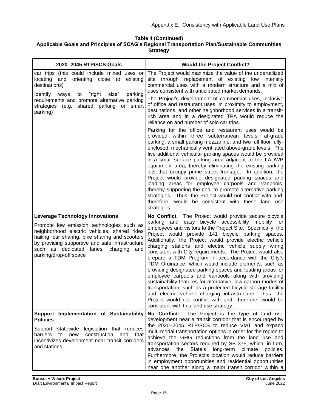| 2020-2045 RTP/SCS Goals                                                                                                                                                                                                                                               | <b>Would the Project Conflict?</b>                                                                                                                                                                                                                                                                                                                                                                                                                                                                                                                                                                                                                                                                                                                                                                                                                                                              |
|-----------------------------------------------------------------------------------------------------------------------------------------------------------------------------------------------------------------------------------------------------------------------|-------------------------------------------------------------------------------------------------------------------------------------------------------------------------------------------------------------------------------------------------------------------------------------------------------------------------------------------------------------------------------------------------------------------------------------------------------------------------------------------------------------------------------------------------------------------------------------------------------------------------------------------------------------------------------------------------------------------------------------------------------------------------------------------------------------------------------------------------------------------------------------------------|
| car trips (this could include mixed uses or<br>and<br>locating<br>orienting close to<br>existing<br>destinations)                                                                                                                                                     | The Project would maximize the value of the underutilized<br>site through replacement of existing low intensity<br>commercial uses with a modern structure and a mix of<br>uses consistent with anticipated market demands.                                                                                                                                                                                                                                                                                                                                                                                                                                                                                                                                                                                                                                                                     |
| Identify<br>size"<br>ways<br>to<br>"right<br>parking<br>requirements and promote alternative parking<br>shared parking<br>or smart<br>strategies<br>(e.g.<br>parking)                                                                                                 | The Project's development of commercial uses, inclusive<br>of office and restaurant uses, in proximity to employment,<br>destinations, and other neighborhood services in a transit-<br>rich area and in a designated TPA would reduce the<br>reliance on and number of solo car trips.                                                                                                                                                                                                                                                                                                                                                                                                                                                                                                                                                                                                         |
|                                                                                                                                                                                                                                                                       | Parking for the office and restaurant uses would be<br>provided within three subterranean levels, at-grade<br>parking, a small parking mezzanine, and two full floor fully-<br>enclosed, mechanically ventilated above-grade levels. The<br>five additional vehicular parking spaces would be provided<br>in a small surface parking area adjacent to the LADWP<br>equipment area, thereby eliminating the existing parking<br>lots that occupy prime street frontage. In addition, the<br>Project would provide designated parking spaces and<br>loading areas for employee carpools and vanpools,<br>thereby supporting the goal to promote alternative parking<br>strategies. Thus, the Project would not conflict with and,<br>therefore, would be consistent with these land use<br>strategies.                                                                                            |
| <b>Leverage Technology Innovations</b>                                                                                                                                                                                                                                | No Conflict. The Project would provide secure bicycle                                                                                                                                                                                                                                                                                                                                                                                                                                                                                                                                                                                                                                                                                                                                                                                                                                           |
| Promote low emission technologies such as<br>neighborhood electric vehicles, shared rides<br>hailing, car sharing, bike sharing and scooters<br>by providing supportive and safe infrastructure<br>such as dedicated lanes, charging<br>and<br>parking/drop-off space | parking and easy bicycle accessibility mobility for<br>employees and visitors to the Project Site. Specifically, the<br>Project would provide 141 bicycle parking spaces.<br>Additionally, the Project would provide electric vehicle<br>charging stations and electric vehicle supply wiring<br>consistent with City requirements. The Project would also<br>prepare a TDM Program in accordance with the City's<br>TDM Ordinance, which would include elements, such as<br>providing designated parking spaces and loading areas for<br>employee carpools and vanpools along with providing<br>sustainability features for alternative, low-carbon modes of<br>transportation, such as a protected bicycle storage facility<br>and electric vehicle charging infrastructure. Thus, the<br>Project would not conflict with and, therefore, would be<br>consistent with this land use strategy. |
| Support Implementation of Sustainability<br><b>Policies</b>                                                                                                                                                                                                           | No Conflict.<br>The Project is the type of land use<br>development near a transit corridor that is encouraged by                                                                                                                                                                                                                                                                                                                                                                                                                                                                                                                                                                                                                                                                                                                                                                                |
| Support statewide legislation that reduces<br>construction<br>barriers<br>new<br>and<br>that<br>to<br>incentivizes development near transit corridors<br>and stations                                                                                                 | the 2020-2045 RTP/SCS to reduce VMT and expand<br>multi-modal transportation options in order for the region to<br>achieve the GHG reductions from the land use and<br>transportation sectors required by SB 375, which, in turn,<br>long-term<br>advances<br>the<br>State's<br>climate<br>policies.<br>Furthermore, the Project's location would reduce barriers<br>in employment opportunities and residential opportunities<br>near one another along a major transit corridor within a                                                                                                                                                                                                                                                                                                                                                                                                      |